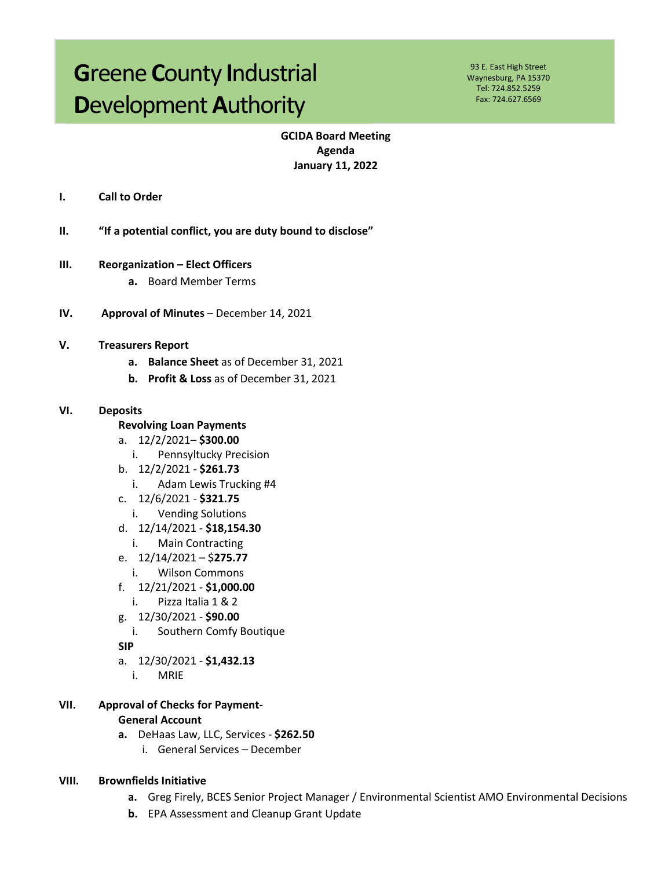# **Greene County Industrial** Development Authority

93 E. East High Street Waynesburg, PA 15370 Tel: 724.852.5259 Fax: 724.627.6569

# **GCIDA Board Meeting** Agenda **January 11, 2022**

- I. **Call to Order**
- II. "If a potential conflict, you are duty bound to disclose"
- **Reorganization Elect Officers**  $III.$ 
	- a. Board Member Terms
- IV. Approval of Minutes - December 14, 2021
- V. **Treasurers Report** 
	- a. Balance Sheet as of December 31, 2021
	- b. Profit & Loss as of December 31, 2021

#### VI. **Deposits**

- **Revolving Loan Payments**
- a. 12/2/2021-\$300.00
	- Pennsyltucky Precision  $\mathbf{i}$ .
- b.  $12/2/2021 $261.73$ 
	- i. Adam Lewis Trucking #4
- c.  $12/6/2021 $321.75$ 
	- $i$ . **Vending Solutions**
- d. 12/14/2021 \$18,154.30
	- **Main Contracting** i.
- e.  $12/14/2021 $275.77$ 
	- **Wilson Commons**  $i$ .
- f.  $12/21/2021 $1,000.00$ 
	- Pizza Italia 1 & 2 i.
- g. 12/30/2021 \$90.00
- i. Southern Comfy Boutique
- **SIP**
- a.  $12/30/2021 $1,432.13$ 
	- $\mathbf{i}$ . **MRIE**
- VII. **Approval of Checks for Payment-General Account** 
	- a. DeHaas Law, LLC, Services \$262.50
		- i. General Services December

#### VIII. **Brownfields Initiative**

- a. Greg Firely, BCES Senior Project Manager / Environmental Scientist AMO Environmental Decisions
- **b.** EPA Assessment and Cleanup Grant Update